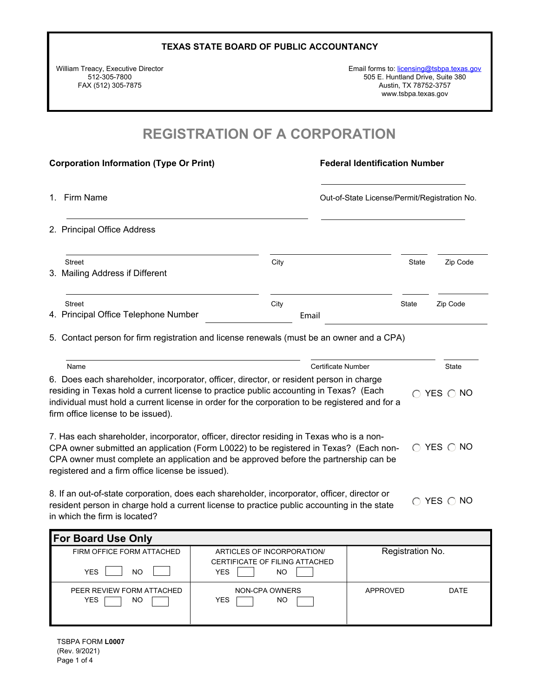William Treacy, Executive Director 512-305-7800 FAX (512) 305-7875

Email forms to: [licensing@tsbpa.texas.gov](mailto:licensing@tsbpa.texas.gov) 505 E. Huntland Drive, Suite 380 Austin, TX 78752-3757 www.tsbpa.texas.gov

### **REGISTRATION OF A CORPORATION**

| <b>Corporation Information (Type Or Print)</b>                                                                                                                                                                                                                                                                            |                    | <b>Federal Identification Number</b>         |              |  |  |  |
|---------------------------------------------------------------------------------------------------------------------------------------------------------------------------------------------------------------------------------------------------------------------------------------------------------------------------|--------------------|----------------------------------------------|--------------|--|--|--|
| Firm Name<br>1.                                                                                                                                                                                                                                                                                                           |                    | Out-of-State License/Permit/Registration No. |              |  |  |  |
| 2. Principal Office Address                                                                                                                                                                                                                                                                                               |                    |                                              |              |  |  |  |
| <b>Street</b><br>3. Mailing Address if Different                                                                                                                                                                                                                                                                          | City               | <b>State</b>                                 | Zip Code     |  |  |  |
| Street<br>4. Principal Office Telephone Number                                                                                                                                                                                                                                                                            | City<br>Email      | State                                        | Zip Code     |  |  |  |
| 5. Contact person for firm registration and license renewals (must be an owner and a CPA)                                                                                                                                                                                                                                 |                    |                                              |              |  |  |  |
| Name                                                                                                                                                                                                                                                                                                                      | Certificate Number |                                              | <b>State</b> |  |  |  |
| 6. Does each shareholder, incorporator, officer, director, or resident person in charge<br>residing in Texas hold a current license to practice public accounting in Texas? (Each<br>individual must hold a current license in order for the corporation to be registered and for a<br>firm office license to be issued). |                    | $\cap$                                       | YES ONO      |  |  |  |
| 7. Has each shareholder, incorporator, officer, director residing in Texas who is a non-                                                                                                                                                                                                                                  |                    |                                              |              |  |  |  |

CPA owner submitted an application (Form L0022) to be registered in Texas? (Each non-CPA owner must complete an application and be approved before the partnership can be registered and a firm office license be issued).  $\bigcirc$  YES  $\bigcirc$  NO

8. If an out-of-state corporation, does each shareholder, incorporator, officer, director or resident person in charge hold a current license to practice public accounting in the state in which the firm is located?  $\bigcirc$  YES  $\bigcirc$  NO

| <b>For Board Use Only</b>                     |                                                     |                  |      |
|-----------------------------------------------|-----------------------------------------------------|------------------|------|
| FIRM OFFICE FORM ATTACHED                     | ARTICLES OF INCORPORATION/                          | Registration No. |      |
| <b>YES</b><br>NO                              | CERTIFICATE OF FILING ATTACHED<br><b>YES</b><br>NO. |                  |      |
| PEER REVIEW FORM ATTACHED<br><b>YES</b><br>ΝO | NON-CPA OWNERS<br><b>YES</b><br>NO.                 | APPROVED         | DATE |

TSBPA FORM **L0007** (Rev. 9/2021) Page 1 of 4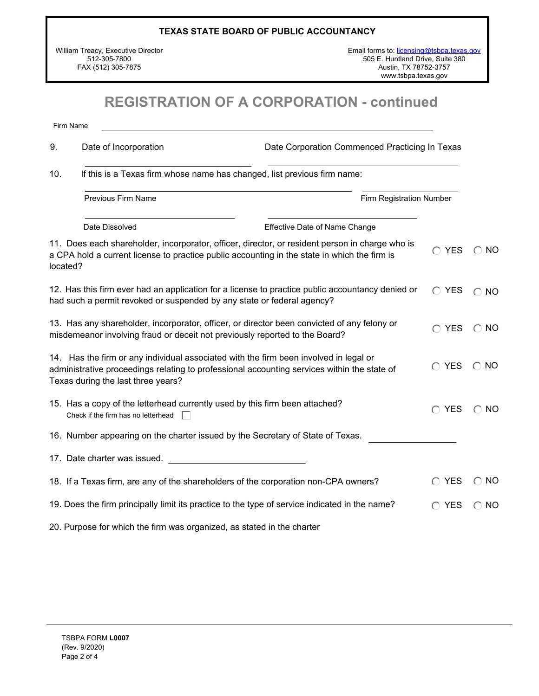William Treacy, Executive Director 512-305-7800 FAX (512) 305-7875

Email forms to: [licensing@tsbpa.texas.gov](mailto:licensing@tsbpa.texas.gov) 505 E. Huntland Drive, Suite 380 Austin, TX 78752-3757 www.tsbpa.texas.gov

# **REGISTRATION OF A CORPORATION - continued**

Firm Name

| 9.       | Date of Incorporation<br>Date Corporation Commenced Practicing In Texas                                                                                                                                                    |                               |                |               |  |  |
|----------|----------------------------------------------------------------------------------------------------------------------------------------------------------------------------------------------------------------------------|-------------------------------|----------------|---------------|--|--|
| 10.      | If this is a Texas firm whose name has changed, list previous firm name:                                                                                                                                                   |                               |                |               |  |  |
|          | Previous Firm Name                                                                                                                                                                                                         | Firm Registration Number      |                |               |  |  |
|          | Date Dissolved                                                                                                                                                                                                             | Effective Date of Name Change |                |               |  |  |
| located? | 11. Does each shareholder, incorporator, officer, director, or resident person in charge who is<br>a CPA hold a current license to practice public accounting in the state in which the firm is                            |                               | <b>YES</b>     | $\bigcirc$ NO |  |  |
|          | 12. Has this firm ever had an application for a license to practice public accountancy denied or<br>had such a permit revoked or suspended by any state or federal agency?                                                 |                               | $\bigcirc$ YES | $\bigcirc$ NO |  |  |
|          | 13. Has any shareholder, incorporator, officer, or director been convicted of any felony or<br>misdemeanor involving fraud or deceit not previously reported to the Board?                                                 |                               | $\bigcap$ YES  | $\bigcirc$ NO |  |  |
|          | 14. Has the firm or any individual associated with the firm been involved in legal or<br>administrative proceedings relating to professional accounting services within the state of<br>Texas during the last three years? |                               | <b>YES</b>     | $\bigcirc$ NO |  |  |
|          | 15. Has a copy of the letterhead currently used by this firm been attached?<br>Check if the firm has no letterhead                                                                                                         |                               | $\bigcap$ YES  | $\bigcirc$ NO |  |  |
|          | 16. Number appearing on the charter issued by the Secretary of State of Texas.                                                                                                                                             |                               |                |               |  |  |
|          | 17. Date charter was issued.                                                                                                                                                                                               |                               |                |               |  |  |
|          | 18. If a Texas firm, are any of the shareholders of the corporation non-CPA owners?                                                                                                                                        |                               | <b>YES</b>     | $\bigcirc$ NO |  |  |
|          | 19. Does the firm principally limit its practice to the type of service indicated in the name?                                                                                                                             |                               | <b>YES</b>     | $\bigcirc$ NO |  |  |
|          | 20. Purpose for which the firm was organized, as stated in the charter                                                                                                                                                     |                               |                |               |  |  |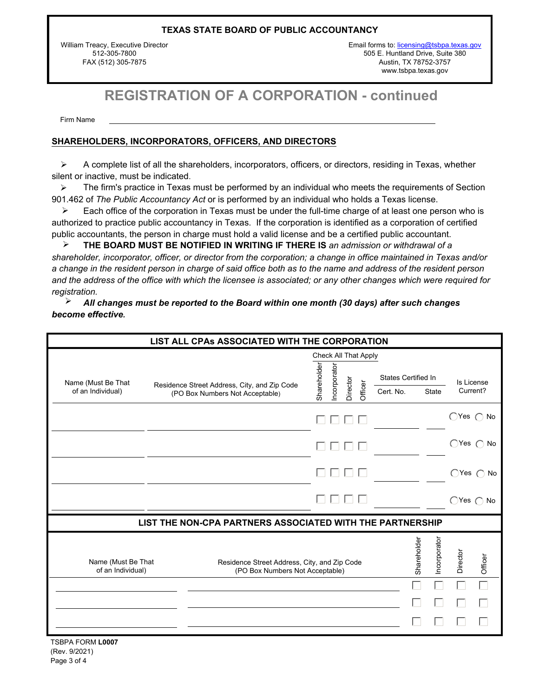William Treacy, Executive Director 512-305-7800 FAX (512) 305-7875

Email forms to: [licensing@tsbpa.texas.gov](mailto:licensing@tsbpa.texas.gov) 505 E. Huntland Drive, Suite 380 Austin, TX 78752-3757 www.tsbpa.texas.gov

# **REGISTRATION OF A CORPORATION - continued**

Firm Name

#### **SHAREHOLDERS, INCORPORATORS, OFFICERS, AND DIRECTORS**

 $\triangleright$  A complete list of all the shareholders, incorporators, officers, or directors, residing in Texas, whether silent or inactive, must be indicated.

The firm's practice in Texas must be performed by an individual who meets the requirements of Section 901.462 of *The Public Accountancy Act* or is performed by an individual who holds a Texas license.  $\blacktriangleright$ 

Each office of the corporation in Texas must be under the full-time charge of at least one person who is authorized to practice public accountancy in Texas. If the corporation is identified as a corporation of certified public accountants, the person in charge must hold a valid license and be a certified public accountant. ÿ

**THE BOARD MUST BE NOTIFIED IN WRITING IF THERE IS** *an admission or withdrawal of a shareholder, incorporator, officer, or director from the corporation; a change in office maintained in Texas and/or a change in the resident person in charge of said office both as to the name and address of the resident person and the address of the office with which the licensee is associated; or any other changes which were required for registration.* ÿ

*All changes must be reported to the Board within one month (30 days) after such changes become effective.* ÿ

|                                         | LIST ALL CPAs ASSOCIATED WITH THE CORPORATION                                   |                      |                          |         |                            |             |              |          |                            |
|-----------------------------------------|---------------------------------------------------------------------------------|----------------------|--------------------------|---------|----------------------------|-------------|--------------|----------|----------------------------|
|                                         |                                                                                 | Check All That Apply |                          |         |                            |             |              |          |                            |
| Name (Must Be That                      | Residence Street Address, City, and Zip Code                                    | Shareholder          |                          |         | <b>States Certified In</b> |             |              |          | Is License                 |
| of an Individual)                       | (PO Box Numbers Not Acceptable)                                                 |                      | Incorporator<br>Director | Officer | Cert. No.                  |             | <b>State</b> |          | Current?                   |
|                                         |                                                                                 |                      | $\mathbf{I}$             |         |                            |             |              |          | $\bigcap$ Yes $\bigcap$ No |
|                                         |                                                                                 |                      | $\mathbf{1}$             |         |                            |             |              |          | $\bigcap$ Yes $\bigcap$ No |
|                                         |                                                                                 |                      |                          |         |                            |             |              |          | $\bigcap$ Yes $\bigcap$ No |
|                                         |                                                                                 |                      |                          |         |                            |             |              |          | $\bigcap$ Yes $\bigcap$ No |
|                                         | LIST THE NON-CPA PARTNERS ASSOCIATED WITH THE PARTNERSHIP                       |                      |                          |         |                            |             |              |          |                            |
| Name (Must Be That<br>of an Individual) | Residence Street Address, City, and Zip Code<br>(PO Box Numbers Not Acceptable) |                      |                          |         |                            | Shareholder | Incorporator | Director | Officer                    |
|                                         |                                                                                 |                      |                          |         |                            |             |              |          |                            |
|                                         |                                                                                 |                      |                          |         |                            |             |              |          |                            |
|                                         |                                                                                 |                      |                          |         |                            |             |              |          |                            |

TSBPA FORM **L0007** (Rev. 9/2021) Page 3 of 4